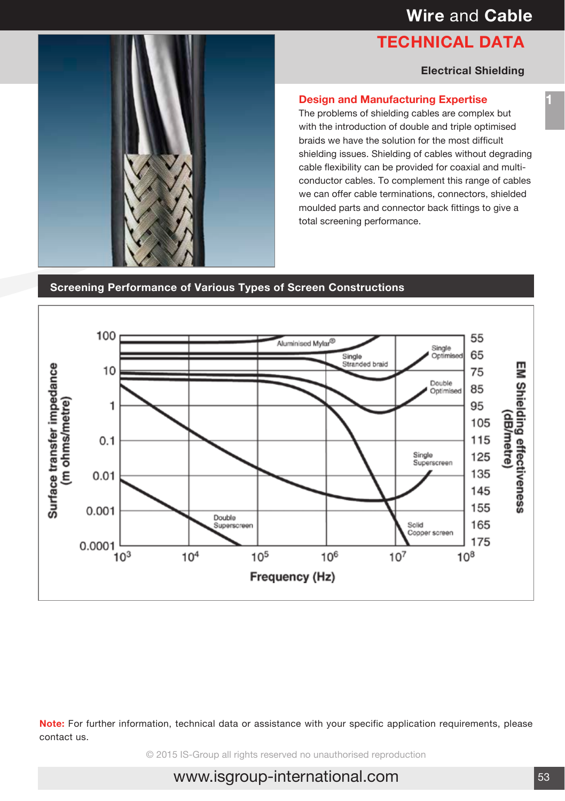# **TECHNICAL DATA**

#### **Electrical Shielding**

#### **Design and Manufacturing Expertise**

The problems of shielding cables are complex but with the introduction of double and triple optimised braids we have the solution for the most difficult shielding issues. Shielding of cables without degrading cable flexibility can be provided for coaxial and multiconductor cables. To complement this range of cables we can offer cable terminations, connectors, shielded moulded parts and connector back fittings to give a total screening performance.

**Screening Performance of Various Types of Screen Constructions**



**Note:** For further information, technical data or assistance with your specific application requirements, please contact us.

© 2015 IS-Group all rights reserved no unauthorised reproduction

# www.isgroup-international.com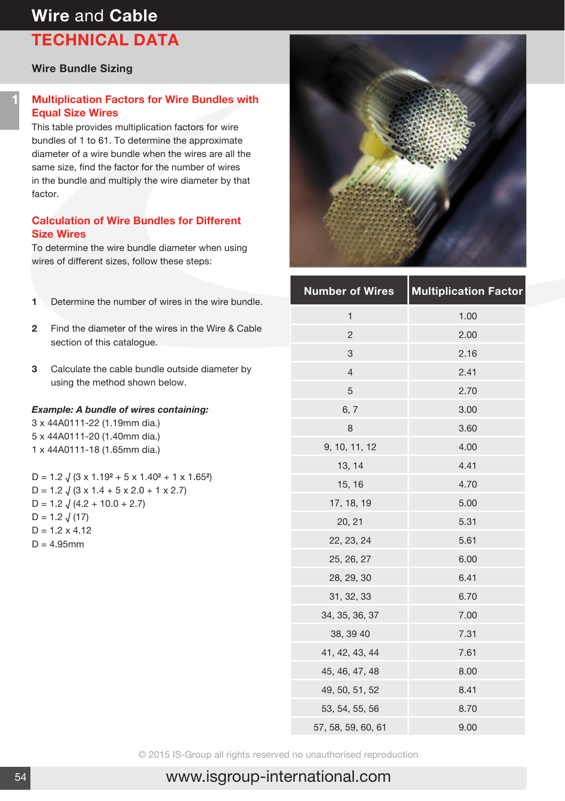# **Wire** and **Cable TECHNICAL DATA**

#### **Wire Bundle Sizing**

## **Multiplication Factors for Wire Bundles with Equal Size Wires**

This table provides multiplication factors for wire bundles of 1 to 61. To determine the approximate diameter of a wire bundle when the wires are all the same size, find the factor for the number of wires in the bundle and multiply the wire diameter by that factor.

### **Calculation of Wire Bundles for Different Size Wires**

To determine the wire bundle diameter when using wires of different sizes, follow these steps:

- **1** Determine the number of wires in the wire bundle.
- **2** Find the diameter of the wires in the Wire & Cable section of this catalogue.
- **3** Calculate the cable bundle outside diameter by using the method shown below.

#### *Example: A bundle of wires containing:*

3 x 44A0111-22 (1.19mm dia.) 5 x 44A0111-20 (1.40mm dia.) 1 x 44A0111-18 (1.65mm dia.)

D = 1.2 √ (3 x 1.19**2** + 5 x 1.40**2** + 1 x 1.65**2**)  $D = 1.2$   $\sqrt{(3 \times 1.4 + 5 \times 2.0 + 1 \times 2.7)}$  $D = 1.2 \sqrt{(4.2 + 10.0 + 2.7)}$  $D = 1.2 \sqrt{(17)}$  $D = 1.2 \times 4.12$  $D = 4.95$ mm



| <b>Number of Wires</b> | <b>Multiplication Factor</b> |
|------------------------|------------------------------|
| $\mathbf{1}$           | 1.00                         |
| $\overline{2}$         | 2.00                         |
| 3                      | 2.16                         |
| $\overline{4}$         | 2.41                         |
| 5                      | 2.70                         |
| 6, 7                   | 3.00                         |
| 8                      | 3.60                         |
| 9, 10, 11, 12          | 4.00                         |
| 13, 14                 | 4.41                         |
| 15, 16                 | 4.70                         |
| 17, 18, 19             | 5.00                         |
| 20, 21                 | 5.31                         |
| 22, 23, 24             | 5.61                         |
| 25, 26, 27             | 6.00                         |
| 28, 29, 30             | 6.41                         |
| 31, 32, 33             | 6.70                         |
| 34, 35, 36, 37         | 7.00                         |
| 38, 39 40              | 7.31                         |
| 41, 42, 43, 44         | 7.61                         |
| 45, 46, 47, 48         | 8.00                         |
| 49, 50, 51, 52         | 8.41                         |
| 53, 54, 55, 56         | 8.70                         |
| 57, 58, 59, 60, 61     | 9.00                         |

© 2015 IS-Group all rights reserved no unauthorised reproduction

# www.isgroup-international.com